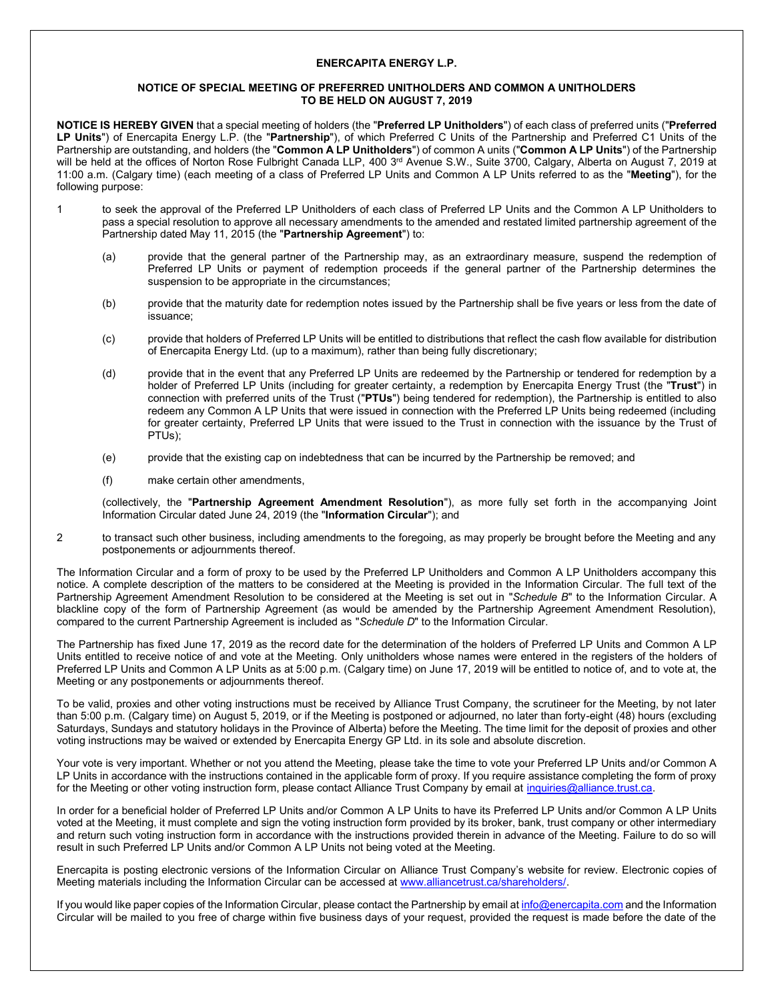## **ENERCAPITA ENERGY L.P.**

## **NOTICE OF SPECIAL MEETING OF PREFERRED UNITHOLDERS AND COMMON A UNITHOLDERS TO BE HELD ON AUGUST 7, 2019**

**NOTICE IS HEREBY GIVEN** that a special meeting of holders (the "**Preferred LP Unitholders**") of each class of preferred units ("**Preferred LP Units**") of Enercapita Energy L.P. (the "**Partnership**"), of which Preferred C Units of the Partnership and Preferred C1 Units of the Partnership are outstanding, and holders (the "**Common A LP Unitholders**") of common A units ("**Common A LP Units**") of the Partnership will be held at the offices of Norton Rose Fulbright Canada LLP, 400 3<sup>rd</sup> Avenue S.W., Suite 3700, Calgary, Alberta on August 7, 2019 at 11:00 a.m. (Calgary time) (each meeting of a class of Preferred LP Units and Common A LP Units referred to as the "**Meeting**"), for the following purpose:

- 1 to seek the approval of the Preferred LP Unitholders of each class of Preferred LP Units and the Common A LP Unitholders to pass a special resolution to approve all necessary amendments to the amended and restated limited partnership agreement of the Partnership dated May 11, 2015 (the "**Partnership Agreement**") to:
	- (a) provide that the general partner of the Partnership may, as an extraordinary measure, suspend the redemption of Preferred LP Units or payment of redemption proceeds if the general partner of the Partnership determines the suspension to be appropriate in the circumstances;
	- (b) provide that the maturity date for redemption notes issued by the Partnership shall be five years or less from the date of issuance;
	- (c) provide that holders of Preferred LP Units will be entitled to distributions that reflect the cash flow available for distribution of Enercapita Energy Ltd. (up to a maximum), rather than being fully discretionary;
	- (d) provide that in the event that any Preferred LP Units are redeemed by the Partnership or tendered for redemption by a holder of Preferred LP Units (including for greater certainty, a redemption by Enercapita Energy Trust (the "**Trust**") in connection with preferred units of the Trust ("**PTUs**") being tendered for redemption), the Partnership is entitled to also redeem any Common A LP Units that were issued in connection with the Preferred LP Units being redeemed (including for greater certainty, Preferred LP Units that were issued to the Trust in connection with the issuance by the Trust of PTUs);
	- (e) provide that the existing cap on indebtedness that can be incurred by the Partnership be removed; and
	- (f) make certain other amendments,

(collectively, the "**Partnership Agreement Amendment Resolution**"), as more fully set forth in the accompanying Joint Information Circular dated June 24, 2019 (the "**Information Circular**"); and

2 to transact such other business, including amendments to the foregoing, as may properly be brought before the Meeting and any postponements or adjournments thereof.

The Information Circular and a form of proxy to be used by the Preferred LP Unitholders and Common A LP Unitholders accompany this notice. A complete description of the matters to be considered at the Meeting is provided in the Information Circular. The full text of the Partnership Agreement Amendment Resolution to be considered at the Meeting is set out in "*Schedule B*" to the Information Circular. A blackline copy of the form of Partnership Agreement (as would be amended by the Partnership Agreement Amendment Resolution), compared to the current Partnership Agreement is included as "*Schedule D*" to the Information Circular.

The Partnership has fixed June 17, 2019 as the record date for the determination of the holders of Preferred LP Units and Common A LP Units entitled to receive notice of and vote at the Meeting. Only unitholders whose names were entered in the registers of the holders of Preferred LP Units and Common A LP Units as at 5:00 p.m. (Calgary time) on June 17, 2019 will be entitled to notice of, and to vote at, the Meeting or any postponements or adjournments thereof.

To be valid, proxies and other voting instructions must be received by Alliance Trust Company, the scrutineer for the Meeting, by not later than 5:00 p.m. (Calgary time) on August 5, 2019, or if the Meeting is postponed or adjourned, no later than forty-eight (48) hours (excluding Saturdays, Sundays and statutory holidays in the Province of Alberta) before the Meeting. The time limit for the deposit of proxies and other voting instructions may be waived or extended by Enercapita Energy GP Ltd. in its sole and absolute discretion.

Your vote is very important. Whether or not you attend the Meeting, please take the time to vote your Preferred LP Units and/or Common A LP Units in accordance with the instructions contained in the applicable form of proxy. If you require assistance completing the form of proxy for the Meeting or other voting instruction form, please contact Alliance Trust Company by email at [inquiries@alliance.trust.ca.](mailto:inquiries@alliance.trust.ca)

In order for a beneficial holder of Preferred LP Units and/or Common A LP Units to have its Preferred LP Units and/or Common A LP Units voted at the Meeting, it must complete and sign the voting instruction form provided by its broker, bank, trust company or other intermediary and return such voting instruction form in accordance with the instructions provided therein in advance of the Meeting. Failure to do so will result in such Preferred LP Units and/or Common A LP Units not being voted at the Meeting.

Enercapita is posting electronic versions of the Information Circular on Alliance Trust Company's website for review. Electronic copies of Meeting materials including the Information Circular can be accessed a[t www.alliancetrust.ca/shareholders/.](http://www.alliancetrust.ca/shareholders/)

If you would like paper copies of the Information Circular, please contact the Partnership by email a[t info@enercapita.com](mailto:info@enercapita.com) and the Information Circular will be mailed to you free of charge within five business days of your request, provided the request is made before the date of the